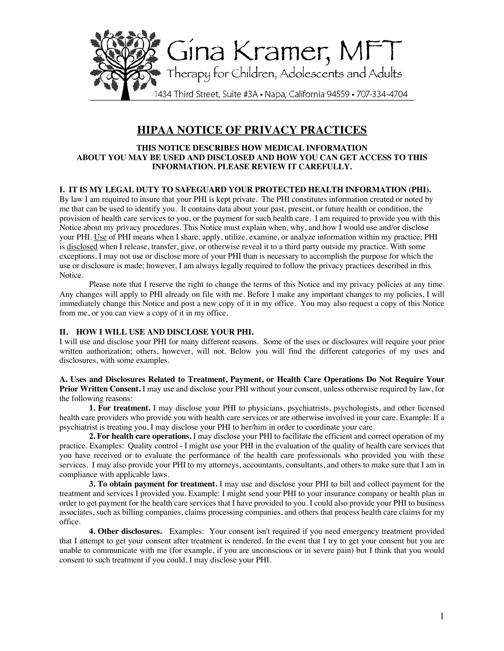

# **HIPAA NOTICE OF PRIVACY PRACTICES**

#### **THIS NOTICE DESCRIBES HOW MEDICAL INFORMATION ABOUT YOU MAY BE USED AND DISCLOSED AND HOW YOU CAN GET ACCESS TO THIS INFORMATION. PLEASE REVIEW IT CAREFULLY.**

# **I. IT IS MY LEGAL DUTY TO SAFEGUARD YOUR PROTECTED HEALTH INFORMATION (PHI).**

By law I am required to insure that your PHI is kept private. The PHI constitutes information created or noted by me that can be used to identify you. It contains data about your past, present, or future health or condition, the provision of health care services to you, or the payment for such health care. I am required to provide you with this Notice about my privacy procedures. This Notice must explain when, why, and how I would use and/or disclose your PHI. Use of PHI means when I share, apply, utilize, examine, or analyze information within my practice; PHI is disclosed when I release, transfer, give, or otherwise reveal it to a third party outside my practice. With some exceptions, I may not use or disclose more of your PHI than is necessary to accomplish the purpose for which the use or disclosure is made; however, I am always legally required to follow the privacy practices described in this Notice.

Please note that I reserve the right to change the terms of this Notice and my privacy policies at any time. Any changes will apply to PHI already on file with me. Before I make any important changes to my policies, I will immediately change this Notice and post a new copy of it in my office. You may also request a copy of this Notice from me, or you can view a copy of it in my office.

#### **II. HOW I WILL USE AND DISCLOSE YOUR PHI.**

I will use and disclose your PHI for many different reasons. Some of the uses or disclosures will require your prior written authorization; others, however, will not. Below you will find the different categories of my uses and disclosures, with some examples.

**A. Uses and Disclosures Related to Treatment, Payment, or Health Care Operations Do Not Require Your Prior Written Consent.** I may use and disclose your PHI without your consent, unless otherwise required by law, for the following reasons:

**1. For treatment.** I may disclose your PHI to physicians, psychiatrists, psychologists, and other licensed health care providers who provide you with health care services or are otherwise involved in your care. Example: If a psychiatrist is treating you, I may disclose your PHI to her/him in order to coordinate your care.

**2. For health care operations.** I may disclose your PHI to facilitate the efficient and correct operation of my practice. Examples: Quality control - I might use your PHI in the evaluation of the quality of health care services that you have received or to evaluate the performance of the health care professionals who provided you with these services. I may also provide your PHI to my attorneys, accountants, consultants, and others to make sure that I am in compliance with applicable laws.

**3. To obtain payment for treatment.** I may use and disclose your PHI to bill and collect payment for the treatment and services I provided you. Example: I might send your PHI to your insurance company or health plan in order to get payment for the health care services that I have provided to you. I could also provide your PHI to business associates, such as billing companies, claims processing companies, and others that process health care claims for my office.

**4. Other disclosures.** Examples:Your consent isn't required if you need emergency treatment provided that I attempt to get your consent after treatment is rendered. In the event that I try to get your consent but you are unable to communicate with me (for example, if you are unconscious or in severe pain) but I think that you would consent to such treatment if you could, I may disclose your PHI.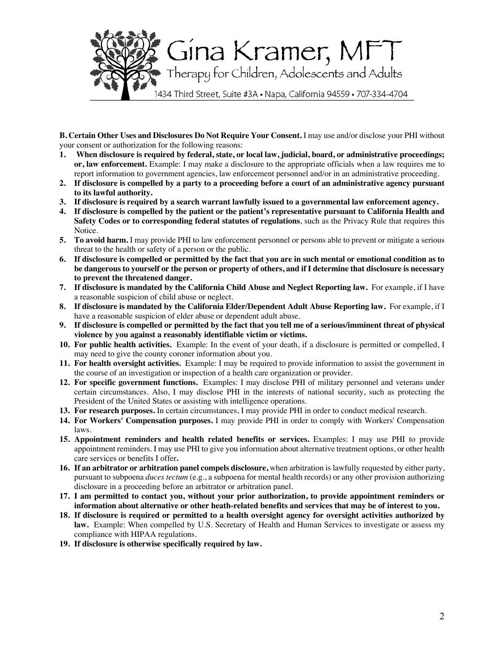

**B. Certain Other Uses and Disclosures Do Not Require Your Consent.** I may use and/or disclose your PHI without your consent or authorization for the following reasons:

- **1. When disclosure is required by federal, state, or local law, judicial, board, or administrative proceedings; or, law enforcement.** Example: I may make a disclosure to the appropriate officials when a law requires me to report information to government agencies, law enforcement personnel and/or in an administrative proceeding.
- **2. If disclosure is compelled by a party to a proceeding before a court of an administrative agency pursuant to its lawful authority.**
- **3. If disclosure is required by a search warrant lawfully issued to a governmental law enforcement agency.**
- **4. If disclosure is compelled by the patient or the patient's representative pursuant to California Health and Safety Codes or to corresponding federal statutes of regulations**, such as the Privacy Rule that requires this Notice.
- **5. To avoid harm.** I may provide PHI to law enforcement personnel or persons able to prevent or mitigate a serious threat to the health or safety of a person or the public.
- **6. If disclosure is compelled or permitted by the fact that you are in such mental or emotional condition as to be dangerous to yourself or the person or property of others, and if I determine that disclosure is necessary to prevent the threatened danger.**
- **7. If disclosure is mandated by the California Child Abuse and Neglect Reporting law.** For example, if I have a reasonable suspicion of child abuse or neglect.
- **8. If disclosure is mandated by the California Elder/Dependent Adult Abuse Reporting law.** For example, if I have a reasonable suspicion of elder abuse or dependent adult abuse.
- **9. If disclosure is compelled or permitted by the fact that you tell me of a serious/imminent threat of physical violence by you against a reasonably identifiable victim or victims.**
- **10. For public health activities.** Example: In the event of your death, if a disclosure is permitted or compelled, I may need to give the county coroner information about you.
- **11. For health oversight activities.** Example: I may be required to provide information to assist the government in the course of an investigation or inspection of a health care organization or provider.
- **12. For specific government functions.** Examples: I may disclose PHI of military personnel and veterans under certain circumstances. Also, I may disclose PHI in the interests of national security, such as protecting the President of the United States or assisting with intelligence operations.
- **13. For research purposes.** In certain circumstances, I may provide PHI in order to conduct medical research.
- **14. For Workers' Compensation purposes.** I may provide PHI in order to comply with Workers' Compensation laws.
- **15. Appointment reminders and health related benefits or services.** Examples: I may use PHI to provide appointment reminders. I may use PHI to give you information about alternative treatment options, or other health care services or benefits I offer**.**
- **16. If an arbitrator or arbitration panel compels disclosure,** when arbitration is lawfully requested by either party, pursuant to subpoena *duces tectum* (e.g., a subpoena for mental health records) or any other provision authorizing disclosure in a proceeding before an arbitrator or arbitration panel.
- **17. I am permitted to contact you, without your prior authorization, to provide appointment reminders or information about alternative or other heath-related benefits and services that may be of interest to you.**
- **18. If disclosure is required or permitted to a health oversight agency for oversight activities authorized by law.** Example: When compelled by U.S. Secretary of Health and Human Services to investigate or assess my compliance with HIPAA regulations.
- **19. If disclosure is otherwise specifically required by law.**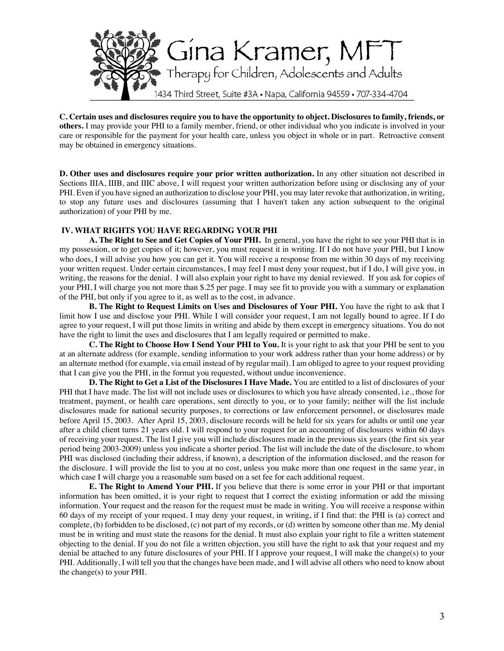

**C. Certain uses and disclosures require you to have the opportunity to object. Disclosures to family, friends, or others.** I may provide your PHI to a family member, friend, or other individual who you indicate is involved in your care or responsible for the payment for your health care, unless you object in whole or in part. Retroactive consent may be obtained in emergency situations.

**D. Other uses and disclosures require your prior written authorization.** In any other situation not described in Sections IIIA, IIIB, and IIIC above, I will request your written authorization before using or disclosing any of your PHI. Even if you have signed an authorization to disclose your PHI, you may later revoke that authorization, in writing, to stop any future uses and disclosures (assuming that I haven't taken any action subsequent to the original authorization) of your PHI by me.

# **IV. WHAT RIGHTS YOU HAVE REGARDING YOUR PHI**

**A. The Right to See and Get Copies of Your PHI.** In general, you have the right to see your PHI that is in my possession, or to get copies of it; however, you must request it in writing. If I do not have your PHI, but I know who does, I will advise you how you can get it. You will receive a response from me within 30 days of my receiving your written request. Under certain circumstances, I may feel I must deny your request, but if I do, I will give you, in writing, the reasons for the denial. I will also explain your right to have my denial reviewed. If you ask for copies of your PHI, I will charge you not more than \$.25 per page. I may see fit to provide you with a summary or explanation of the PHI, but only if you agree to it, as well as to the cost, in advance.

**B. The Right to Request Limits on Uses and Disclosures of Your PHI.** You have the right to ask that I limit how I use and disclose your PHI. While I will consider your request, I am not legally bound to agree. If I do agree to your request, I will put those limits in writing and abide by them except in emergency situations. You do not have the right to limit the uses and disclosures that I am legally required or permitted to make.

**C. The Right to Choose How I Send Your PHI to You.** It is your right to ask that your PHI be sent to you at an alternate address (for example, sending information to your work address rather than your home address) or by an alternate method (for example, via email instead of by regular mail). I am obliged to agree to your request providing that I can give you the PHI, in the format you requested, without undue inconvenience.

**D. The Right to Get a List of the Disclosures I Have Made.** You are entitled to a list of disclosures of your PHI that I have made. The list will not include uses or disclosures to which you have already consented, i.e., those for treatment, payment, or health care operations, sent directly to you, or to your family; neither will the list include disclosures made for national security purposes, to corrections or law enforcement personnel, or disclosures made before April 15, 2003. After April 15, 2003, disclosure records will be held for six years for adults or until one year after a child client turns 21 years old. I will respond to your request for an accounting of disclosures within 60 days of receiving your request. The list I give you will include disclosures made in the previous six years (the first six year period being 2003-2009) unless you indicate a shorter period. The list will include the date of the disclosure, to whom PHI was disclosed (including their address, if known), a description of the information disclosed, and the reason for the disclosure. I will provide the list to you at no cost, unless you make more than one request in the same year, in which case I will charge you a reasonable sum based on a set fee for each additional request.

**E. The Right to Amend Your PHI.** If you believe that there is some error in your PHI or that important information has been omitted, it is your right to request that I correct the existing information or add the missing information. Your request and the reason for the request must be made in writing. You will receive a response within 60 days of my receipt of your request. I may deny your request, in writing, if I find that: the PHI is (a) correct and complete, (b) forbidden to be disclosed, (c) not part of my records, or (d) written by someone other than me. My denial must be in writing and must state the reasons for the denial. It must also explain your right to file a written statement objecting to the denial. If you do not file a written objection, you still have the right to ask that your request and my denial be attached to any future disclosures of your PHI. If I approve your request, I will make the change(s) to your PHI. Additionally, I will tell you that the changes have been made, and I will advise all others who need to know about the change(s) to your PHI.